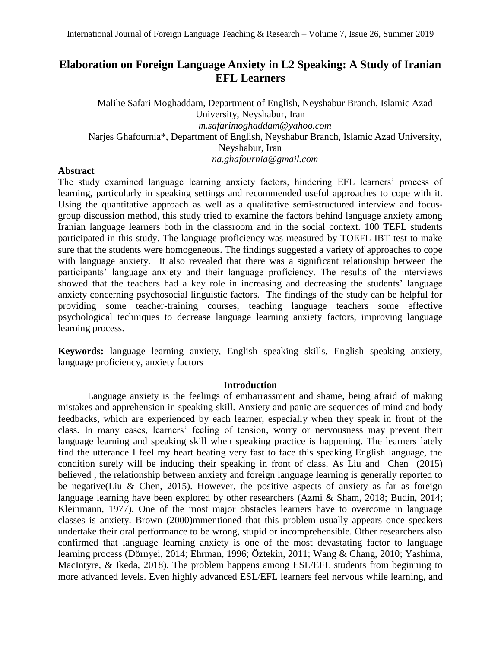# **Elaboration on Foreign Language Anxiety in L2 Speaking: A Study of Iranian EFL Learners**

Malihe Safari Moghaddam, Department of English, Neyshabur Branch, Islamic Azad University, Neyshabur, Iran *m.safarimoghaddam@yahoo.com* Narjes Ghafournia\*, Department of English, Neyshabur Branch, Islamic Azad University, Neyshabur, Iran *na.ghafournia@gmail.com*

# **Abstract**

The study examined language learning anxiety factors, hindering EFL learners' process of learning, particularly in speaking settings and recommended useful approaches to cope with it. Using the quantitative approach as well as a qualitative semi-structured interview and focusgroup discussion method, this study tried to examine the factors behind language anxiety among Iranian language learners both in the classroom and in the social context. 100 TEFL students participated in this study. The language proficiency was measured by TOEFL IBT test to make sure that the students were homogeneous. The findings suggested a variety of approaches to cope with language anxiety. It also revealed that there was a significant relationship between the participants' language anxiety and their language proficiency. The results of the interviews showed that the teachers had a key role in increasing and decreasing the students' language anxiety concerning psychosocial linguistic factors. The findings of the study can be helpful for providing some teacher-training courses, teaching language teachers some effective psychological techniques to decrease language learning anxiety factors, improving language learning process.

**Keywords:** language learning anxiety, English speaking skills, English speaking anxiety, language proficiency, anxiety factors

# **Introduction**

Language anxiety is the feelings of embarrassment and shame, being afraid of making mistakes and apprehension in speaking skill. Anxiety and panic are sequences of mind and body feedbacks, which are experienced by each learner, especially when they speak in front of the class. In many cases, learners' feeling of tension, worry or nervousness may prevent their language learning and speaking skill when speaking practice is happening. The learners lately find the utterance I feel my heart beating very fast to face this speaking English language, the condition surely will be inducing their speaking in front of class. As [Liu and Chen \(2015\)](../AppData/Local/Temp/POyeshGaraN/Downloads/JFL-1806-1573-1-2%20-%20Copy.docx#_ENREF_27) believed , the relationship between anxiety and foreign language learning is generally reported to be negative(Liu & Chen, 2015). However, the positive aspects of anxiety as far as foreign language learning have been explored by other researchers (Azmi & Sham, 2018; Budin, 2014; Kleinmann, 1977). One of the most major obstacles learners have to overcome in language classes is anxiety. Brown (2000)mmentioned that this problem usually appears once speakers undertake their oral performance to be wrong, stupid or incomprehensible. Other researchers also confirmed that language learning anxiety is one of the most devastating factor to language learning process (Dörnyei, 2014; Ehrman, 1996; Öztekin, 2011; Wang & Chang, 2010; Yashima, MacIntyre, & Ikeda, 2018). The problem happens among ESL/EFL students from beginning to more advanced levels. Even highly advanced ESL/EFL learners feel nervous while learning, and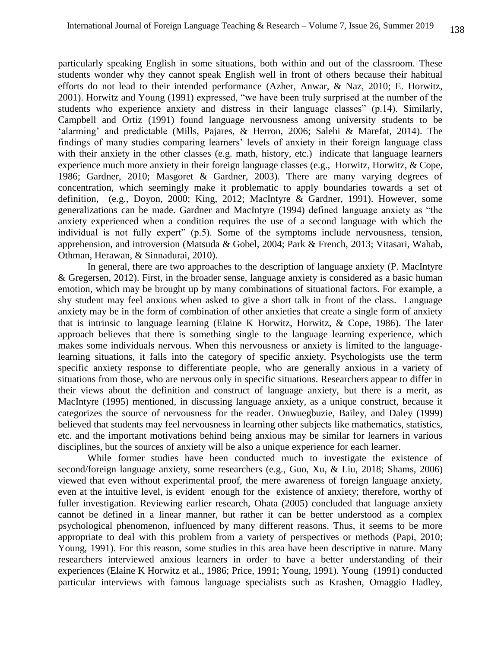particularly speaking English in some situations, both within and out of the classroom. These students wonder why they cannot speak English well in front of others because their habitual efforts do not lead to their intended performance (Azher, Anwar, & Naz, 2010; E. Horwitz, 2001). Horwitz and Young (1991) expressed, "we have been truly surprised at the number of the students who experience anxiety and distress in their language classes" (p.14). Similarly, Campbell and Ortiz (1991) found language nervousness among university students to be 'alarming' and predictable (Mills, Pajares, & Herron, 2006; Salehi & Marefat, 2014). The findings of many studies comparing learners' levels of anxiety in their foreign language class with their anxiety in the other classes (e.g. math, history, etc.) indicate that language learners experience much more anxiety in their foreign language classes (e.g., Horwitz, Horwitz, & Cope, 1986; Gardner, 2010; Masgoret & Gardner, 2003). There are many varying degrees of concentration, which seemingly make it problematic to apply boundaries towards a set of definition, (e.g., Doyon, 2000; King, 2012; MacIntyre & Gardner, 1991). However, some generalizations can be made. Gardner and MacIntyre (1994) defined language anxiety as "the anxiety experienced when a condition requires the use of a second language with which the individual is not fully expert" (p.5). Some of the symptoms include nervousness, tension, apprehension, and introversion (Matsuda & Gobel, 2004; Park & French, 2013; Vitasari, Wahab, Othman, Herawan, & Sinnadurai, 2010).

In general, there are two approaches to the description of language anxiety (P. MacIntyre & Gregersen, 2012). First, in the broader sense, language anxiety is considered as a basic human emotion, which may be brought up by many combinations of situational factors. For example, a shy student may feel anxious when asked to give a short talk in front of the class. Language anxiety may be in the form of combination of other anxieties that create a single form of anxiety that is intrinsic to language learning (Elaine K Horwitz, Horwitz,  $\&$  Cope, 1986). The later approach believes that there is something single to the language learning experience, which makes some individuals nervous. When this nervousness or anxiety is limited to the languagelearning situations, it falls into the category of specific anxiety. Psychologists use the term specific anxiety response to differentiate people, who are generally anxious in a variety of situations from those, who are nervous only in specific situations. Researchers appear to differ in their views about the definition and construct of language anxiety, but there is a merit, as MacIntyre (1995) mentioned, in discussing language anxiety, as a unique construct, because it categorizes the source of nervousness for the reader. Onwuegbuzie, Bailey, and Daley (1999) believed that students may feel nervousness in learning other subjects like mathematics, statistics, etc. and the important motivations behind being anxious may be similar for learners in various disciplines, but the sources of anxiety will be also a unique experience for each learner.

While former studies have been conducted much to investigate the existence of second/foreign language anxiety, some researchers (e.g., Guo, Xu, & Liu, 2018; Shams, 2006) viewed that even without experimental proof, the mere awareness of foreign language anxiety, even at the intuitive level, is evident enough for the existence of anxiety; therefore, worthy of fuller investigation. Reviewing earlier research, Ohata (2005) concluded that language anxiety cannot be defined in a linear manner, but rather it can be better understood as a complex psychological phenomenon, influenced by many different reasons. Thus, it seems to be more appropriate to deal with this problem from a variety of perspectives or methods (Papi, 2010; Young, 1991). For this reason, some studies in this area have been descriptive in nature. Many researchers interviewed anxious learners in order to have a better understanding of their experiences (Elaine K Horwitz et al., 1986; Price, 1991; Young, 1991). Young (1991) conducted particular interviews with famous language specialists such as Krashen, Omaggio Hadley,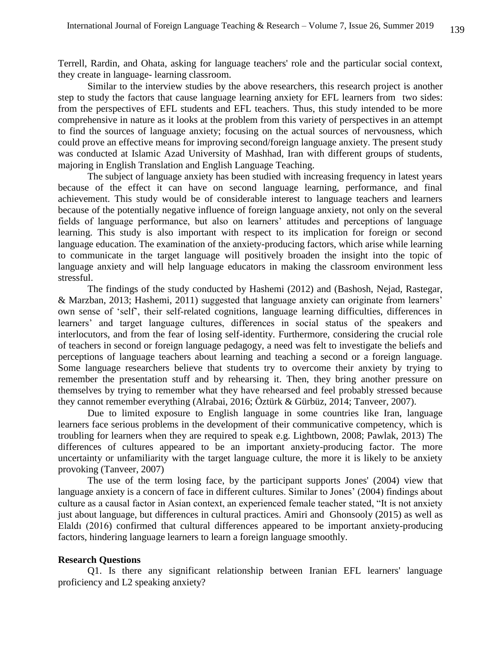Terrell, Rardin, and Ohata, asking for language teachers' role and the particular social context, they create in language- learning classroom.

Similar to the interview studies by the above researchers, this research project is another step to study the factors that cause language learning anxiety for EFL learners from two sides: from the perspectives of EFL students and EFL teachers. Thus, this study intended to be more comprehensive in nature as it looks at the problem from this variety of perspectives in an attempt to find the sources of language anxiety; focusing on the actual sources of nervousness, which could prove an effective means for improving second/foreign language anxiety. The present study was conducted at Islamic Azad University of Mashhad, Iran with different groups of students, majoring in English Translation and English Language Teaching.

The subject of language anxiety has been studied with increasing frequency in latest years because of the effect it can have on second language learning, performance, and final achievement. This study would be of considerable interest to language teachers and learners because of the potentially negative influence of foreign language anxiety, not only on the several fields of language performance, but also on learners' attitudes and perceptions of language learning. This study is also important with respect to its implication for foreign or second language education. The examination of the anxiety-producing factors, which arise while learning to communicate in the target language will positively broaden the insight into the topic of language anxiety and will help language educators in making the classroom environment less stressful.

The findings of the study conducted by Hashemi (2012) and (Bashosh, Nejad, Rastegar, & Marzban, 2013; Hashemi, 2011) suggested that language anxiety can originate from learners' own sense of 'self', their self-related cognitions, language learning difficulties, differences in learners' and target language cultures, differences in social status of the speakers and interlocutors, and from the fear of losing self-identity. Furthermore, considering the crucial role of teachers in second or foreign language pedagogy, a need was felt to investigate the beliefs and perceptions of language teachers about learning and teaching a second or a foreign language. Some language researchers believe that students try to overcome their anxiety by trying to remember the presentation stuff and by rehearsing it. Then, they bring another pressure on themselves by trying to remember what they have rehearsed and feel probably stressed because they cannot remember everything (Alrabai, 2016; Öztürk & Gürbüz, 2014; Tanveer, 2007).

Due to limited exposure to English language in some countries like Iran, language learners face serious problems in the development of their communicative competency, which is troubling for learners when they are required to speak e.g. Lightbown, 2008; Pawlak, 2013) The differences of cultures appeared to be an important anxiety-producing factor. The more uncertainty or unfamiliarity with the target language culture, the more it is likely to be anxiety provoking (Tanveer, 2007)

The use of the term losing face, by the participant supports Jones' (2004) view that language anxiety is a concern of face in different cultures. Similar to Jones' (2004) findings about culture as a causal factor in Asian context, an experienced female teacher stated, "It is not anxiety just about language, but differences in cultural practices. Amiri and Ghonsooly (2015) as well as Elaldı (2016) confirmed that cultural differences appeared to be important anxiety-producing factors, hindering language learners to learn a foreign language smoothly.

#### **Research Questions**

Q1. Is there any significant relationship between Iranian EFL learners' language proficiency and L2 speaking anxiety?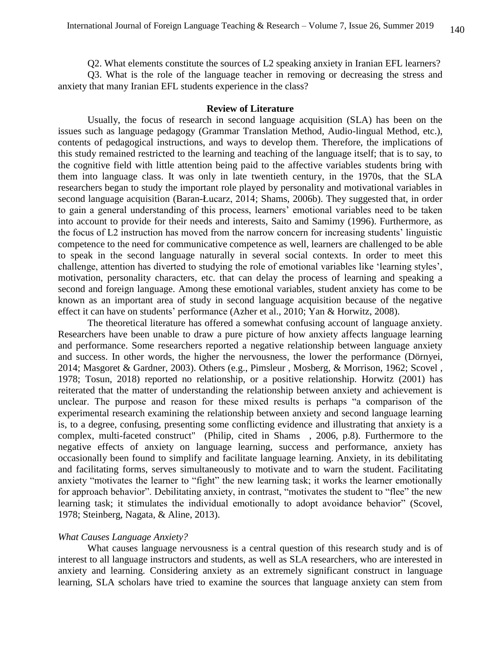Q2. What elements constitute the sources of L2 speaking anxiety in Iranian EFL learners?

Q3. What is the role of the language teacher in removing or decreasing the stress and anxiety that many Iranian EFL students experience in the class?

# **Review of Literature**

Usually, the focus of research in second language acquisition (SLA) has been on the issues such as language pedagogy (Grammar Translation Method, Audio-lingual Method, etc.), contents of pedagogical instructions, and ways to develop them. Therefore, the implications of this study remained restricted to the learning and teaching of the language itself; that is to say, to the cognitive field with little attention being paid to the affective variables students bring with them into language class. It was only in late twentieth century, in the 1970s, that the SLA researchers began to study the important role played by personality and motivational variables in second language acquisition (Baran-Łucarz, 2014; Shams, 2006b). They suggested that, in order to gain a general understanding of this process, learners' emotional variables need to be taken into account to provide for their needs and interests, Saito and Samimy (1996). Furthermore, as the focus of L2 instruction has moved from the narrow concern for increasing students' linguistic competence to the need for communicative competence as well, learners are challenged to be able to speak in the second language naturally in several social contexts. In order to meet this challenge, attention has diverted to studying the role of emotional variables like 'learning styles', motivation, personality characters, etc. that can delay the process of learning and speaking a second and foreign language. Among these emotional variables, student anxiety has come to be known as an important area of study in second language acquisition because of the negative effect it can have on students' performance (Azher et al., 2010; Yan & Horwitz, 2008).

The theoretical literature has offered a somewhat confusing account of language anxiety. Researchers have been unable to draw a pure picture of how anxiety affects language learning and performance. Some researchers reported a negative relationship between language anxiety and success. In other words, the higher the nervousness, the lower the performance (Dörnyei, 2014; Masgoret & Gardner, 2003). Others (e.g., Pimsleur , Mosberg, & Morrison, 1962; Scovel , 1978; Tosun, 2018) reported no relationship, or a positive relationship. Horwitz (2001) has reiterated that the matter of understanding the relationship between anxiety and achievement is unclear. The purpose and reason for these mixed results is perhaps "a comparison of the experimental research examining the relationship between anxiety and second language learning is, to a degree, confusing, presenting some conflicting evidence and illustrating that anxiety is a complex, multi-faceted construct" (Philip, cited in Shams , 2006, p.8). Furthermore to the negative effects of anxiety on language learning, success and performance, anxiety has occasionally been found to simplify and facilitate language learning. Anxiety, in its debilitating and facilitating forms, serves simultaneously to motivate and to warn the student. Facilitating anxiety "motivates the learner to "fight" the new learning task; it works the learner emotionally for approach behavior". Debilitating anxiety, in contrast, "motivates the student to "flee" the new learning task; it stimulates the individual emotionally to adopt avoidance behavior" (Scovel, 1978; Steinberg, Nagata, & Aline, 2013).

#### *What Causes Language Anxiety?*

What causes language nervousness is a central question of this research study and is of interest to all language instructors and students, as well as SLA researchers, who are interested in anxiety and learning. Considering anxiety as an extremely significant construct in language learning, SLA scholars have tried to examine the sources that language anxiety can stem from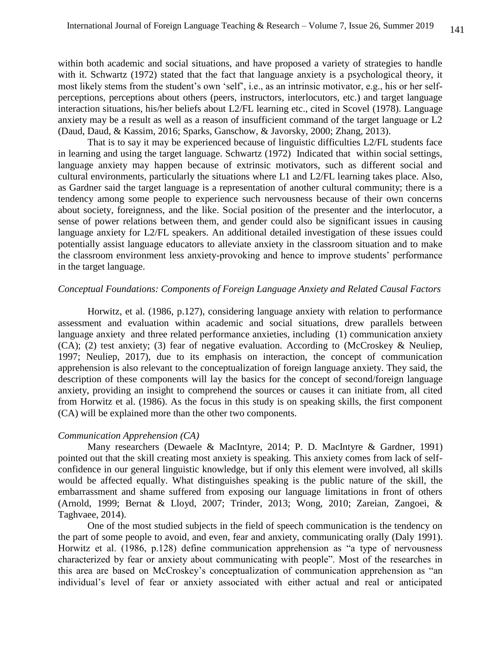within both academic and social situations, and have proposed a variety of strategies to handle with it. Schwartz (1972) stated that the fact that language anxiety is a psychological theory, it most likely stems from the student's own 'self', i.e., as an intrinsic motivator, e.g., his or her selfperceptions, perceptions about others (peers, instructors, interlocutors, etc.) and target language interaction situations, his/her beliefs about L2/FL learning etc., cited in Scovel (1978). Language anxiety may be a result as well as a reason of insufficient command of the target language or L2 (Daud, Daud, & Kassim, 2016; Sparks, Ganschow, & Javorsky, 2000; Zhang, 2013).

That is to say it may be experienced because of linguistic difficulties L2/FL students face in learning and using the target language. Schwartz (1972) Indicated that within social settings, language anxiety may happen because of extrinsic motivators, such as different social and cultural environments, particularly the situations where L1 and L2/FL learning takes place. Also, as Gardner said the target language is a representation of another cultural community; there is a tendency among some people to experience such nervousness because of their own concerns about society, foreignness, and the like. Social position of the presenter and the interlocutor, a sense of power relations between them, and gender could also be significant issues in causing language anxiety for L2/FL speakers. An additional detailed investigation of these issues could potentially assist language educators to alleviate anxiety in the classroom situation and to make the classroom environment less anxiety-provoking and hence to improve students' performance in the target language.

## *Conceptual Foundations: Components of Foreign Language Anxiety and Related Causal Factors*

Horwitz, et al. (1986, p.127), considering language anxiety with relation to performance assessment and evaluation within academic and social situations, drew parallels between language anxiety and three related performance anxieties, including (1) communication anxiety (CA); (2) test anxiety; (3) fear of negative evaluation. According to (McCroskey & Neuliep, 1997; Neuliep, 2017), due to its emphasis on interaction, the concept of communication apprehension is also relevant to the conceptualization of foreign language anxiety. They said, the description of these components will lay the basics for the concept of second/foreign language anxiety, providing an insight to comprehend the sources or causes it can initiate from, all cited from Horwitz et al. (1986). As the focus in this study is on speaking skills, the first component (CA) will be explained more than the other two components.

# *Communication Apprehension (CA)*

Many researchers (Dewaele & MacIntyre, 2014; P. D. MacIntyre & Gardner, 1991) pointed out that the skill creating most anxiety is speaking. This anxiety comes from lack of selfconfidence in our general linguistic knowledge, but if only this element were involved, all skills would be affected equally. What distinguishes speaking is the public nature of the skill, the embarrassment and shame suffered from exposing our language limitations in front of others (Arnold, 1999; Bernat & Lloyd, 2007; Trinder, 2013; Wong, 2010; Zareian, Zangoei, & Taghvaee, 2014).

One of the most studied subjects in the field of speech communication is the tendency on the part of some people to avoid, and even, fear and anxiety, communicating orally (Daly 1991). Horwitz et al. (1986, p.128) define communication apprehension as "a type of nervousness characterized by fear or anxiety about communicating with people". Most of the researches in this area are based on McCroskey's conceptualization of communication apprehension as "an individual's level of fear or anxiety associated with either actual and real or anticipated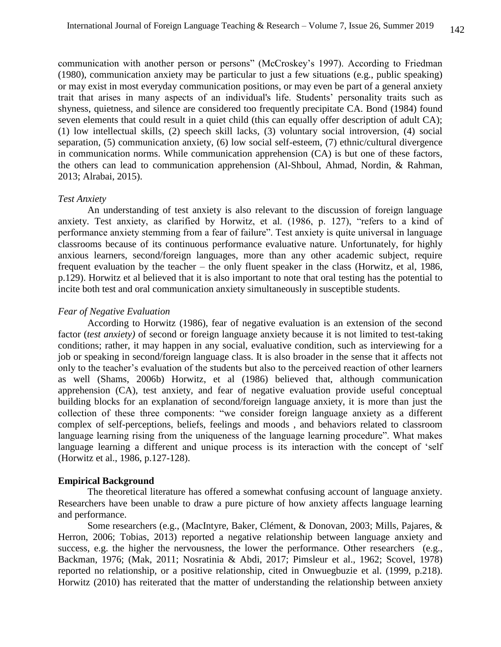communication with another person or persons" (McCroskey's 1997). According to Friedman (1980), communication anxiety may be particular to just a few situations (e.g., public speaking) or may exist in most everyday communication positions, or may even be part of a general anxiety trait that arises in many aspects of an individual's life. Students' personality traits such as shyness, quietness, and silence are considered too frequently precipitate CA. Bond (1984) found seven elements that could result in a quiet child (this can equally offer description of adult CA); (1) low intellectual skills, (2) speech skill lacks, (3) voluntary social introversion, (4) social separation, (5) communication anxiety, (6) low social self-esteem, (7) ethnic/cultural divergence in communication norms. While communication apprehension (CA) is but one of these factors, the others can lead to communication apprehension (Al-Shboul, Ahmad, Nordin, & Rahman, 2013; Alrabai, 2015).

#### *Test Anxiety*

An understanding of test anxiety is also relevant to the discussion of foreign language anxiety. Test anxiety, as clarified by Horwitz, et al. (1986, p. 127), "refers to a kind of performance anxiety stemming from a fear of failure". Test anxiety is quite universal in language classrooms because of its continuous performance evaluative nature. Unfortunately, for highly anxious learners, second/foreign languages, more than any other academic subject, require frequent evaluation by the teacher – the only fluent speaker in the class (Horwitz, et al, 1986, p.129). Horwitz et al believed that it is also important to note that oral testing has the potential to incite both test and oral communication anxiety simultaneously in susceptible students.

# *Fear of Negative Evaluation*

According to Horwitz (1986), fear of negative evaluation is an extension of the second factor (*test anxiety)* of second or foreign language anxiety because it is not limited to test-taking conditions; rather, it may happen in any social, evaluative condition, such as interviewing for a job or speaking in second/foreign language class. It is also broader in the sense that it affects not only to the teacher's evaluation of the students but also to the perceived reaction of other learners as well (Shams, 2006b) Horwitz, et al (1986) believed that, although communication apprehension (CA), test anxiety, and fear of negative evaluation provide useful conceptual building blocks for an explanation of second/foreign language anxiety, it is more than just the collection of these three components: "we consider foreign language anxiety as a different complex of self-perceptions, beliefs, feelings and moods , and behaviors related to classroom language learning rising from the uniqueness of the language learning procedure". What makes language learning a different and unique process is its interaction with the concept of 'self (Horwitz et al., 1986, p.127-128).

# **Empirical Background**

The theoretical literature has offered a somewhat confusing account of language anxiety. Researchers have been unable to draw a pure picture of how anxiety affects language learning and performance.

Some researchers (e.g., (MacIntyre, Baker, Clément, & Donovan, 2003; Mills, Pajares, & Herron, 2006; Tobias, 2013) reported a negative relationship between language anxiety and success, e.g. the higher the nervousness, the lower the performance. Other researchers (e.g., Backman, 1976; (Mak, 2011; Nosratinia & Abdi, 2017; Pimsleur et al., 1962; Scovel, 1978) reported no relationship, or a positive relationship, cited in Onwuegbuzie et al. (1999, p.218). Horwitz (2010) has reiterated that the matter of understanding the relationship between anxiety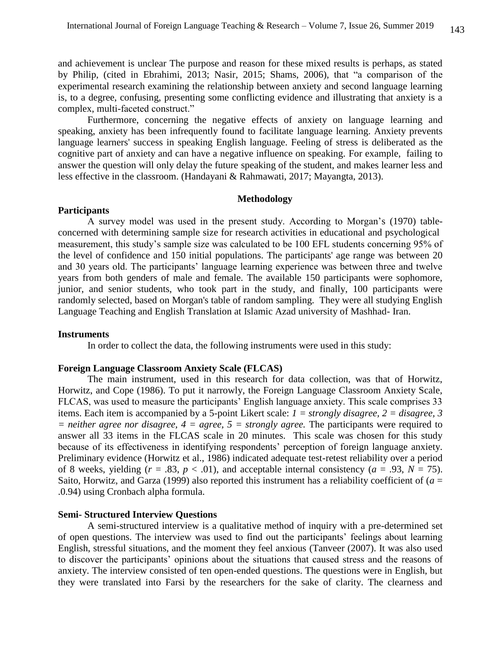and achievement is unclear The purpose and reason for these mixed results is perhaps, as stated by Philip, (cited in Ebrahimi, 2013; Nasir, 2015; Shams, 2006), that "a comparison of the experimental research examining the relationship between anxiety and second language learning is, to a degree, confusing, presenting some conflicting evidence and illustrating that anxiety is a complex, multi-faceted construct."

Furthermore, concerning the negative effects of anxiety on language learning and speaking, anxiety has been infrequently found to facilitate language learning. Anxiety prevents language learners' success in speaking English language. Feeling of stress is deliberated as the cognitive part of anxiety and can have a negative influence on speaking. For example, failing to answer the question will only delay the future speaking of the student, and makes learner less and less effective in the classroom. (Handayani & Rahmawati, 2017; Mayangta, 2013).

## **Methodology**

# **Participants**

A survey model was used in the present study. According to Morgan's (1970) tableconcerned with determining sample size for research activities in educational and psychological measurement, this study's sample size was calculated to be 100 EFL students concerning 95% of the level of confidence and 150 initial populations. The participants' age range was between 20 and 30 years old. The participants' language learning experience was between three and twelve years from both genders of male and female. The available 150 participants were sophomore, junior, and senior students, who took part in the study, and finally, 100 participants were randomly selected, based on Morgan's table of random sampling. They were all studying English Language Teaching and English Translation at Islamic Azad university of Mashhad- Iran.

#### **Instruments**

In order to collect the data, the following instruments were used in this study:

### **Foreign Language Classroom Anxiety Scale (FLCAS)**

The main instrument, used in this research for data collection, was that of Horwitz, Horwitz, and Cope (1986). To put it narrowly, the Foreign Language Classroom Anxiety Scale, FLCAS, was used to measure the participants' English language anxiety. This scale comprises 33 items. Each item is accompanied by a 5-point Likert scale: *1 = strongly disagree, 2 = disagree, 3*   $=$  *neither agree nor disagree, 4 = agree, 5 = strongly agree.* The participants were required to answer all 33 items in the FLCAS scale in 20 minutes. This scale was chosen for this study because of its effectiveness in identifying respondents' perception of foreign language anxiety. Preliminary evidence (Horwitz et al., 1986) indicated adequate test-retest reliability over a period of 8 weeks, yielding  $(r = .83, p < .01)$ , and acceptable internal consistency  $(a = .93, N = 75)$ . Saito, Horwitz, and Garza (1999) also reported this instrument has a reliability coefficient of (*a* = .0.94) using Cronbach alpha formula.

#### **Semi- Structured Interview Questions**

A semi-structured interview is a qualitative method of inquiry with a pre-determined set of open questions. The interview was used to find out the participants' feelings about learning English, stressful situations, and the moment they feel anxious (Tanveer (2007). It was also used to discover the participants' opinions about the situations that caused stress and the reasons of anxiety. The interview consisted of ten open-ended questions. The questions were in English, but they were translated into Farsi by the researchers for the sake of clarity. The clearness and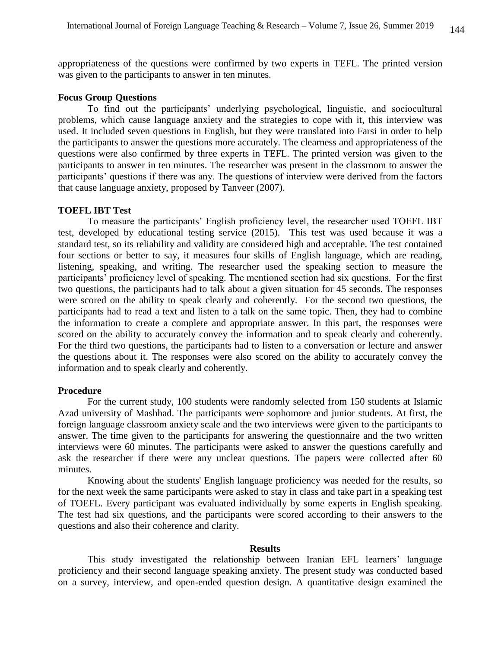appropriateness of the questions were confirmed by two experts in TEFL. The printed version was given to the participants to answer in ten minutes.

# **Focus Group Questions**

To find out the participants' underlying psychological, linguistic, and sociocultural problems, which cause language anxiety and the strategies to cope with it, this interview was used. It included seven questions in English, but they were translated into Farsi in order to help the participants to answer the questions more accurately. The clearness and appropriateness of the questions were also confirmed by three experts in TEFL. The printed version was given to the participants to answer in ten minutes. The researcher was present in the classroom to answer the participants' questions if there was any. The questions of interview were derived from the factors that cause language anxiety, proposed by Tanveer (2007).

#### **TOEFL IBT Test**

To measure the participants' English proficiency level, the researcher used TOEFL IBT test, developed by educational testing service (2015). This test was used because it was a standard test, so its reliability and validity are considered high and acceptable. The test contained four sections or better to say, it measures four skills of English language, which are reading, listening, speaking, and writing. The researcher used the speaking section to measure the participants' proficiency level of speaking. The mentioned section had six questions. For the first two questions, the participants had to talk about a given situation for 45 seconds. The responses were scored on the ability to speak clearly and coherently. For the second two questions, the participants had to read a text and listen to a talk on the same topic. Then, they had to combine the information to create a complete and appropriate answer. In this part, the responses were scored on the ability to accurately convey the information and to speak clearly and coherently. For the third two questions, the participants had to listen to a conversation or lecture and answer the questions about it. The responses were also scored on the ability to accurately convey the information and to speak clearly and coherently.

#### **Procedure**

For the current study, 100 students were randomly selected from 150 students at Islamic Azad university of Mashhad. The participants were sophomore and junior students. At first, the foreign language classroom anxiety scale and the two interviews were given to the participants to answer. The time given to the participants for answering the questionnaire and the two written interviews were 60 minutes. The participants were asked to answer the questions carefully and ask the researcher if there were any unclear questions. The papers were collected after 60 minutes.

Knowing about the students' English language proficiency was needed for the results, so for the next week the same participants were asked to stay in class and take part in a speaking test of TOEFL. Every participant was evaluated individually by some experts in English speaking. The test had six questions, and the participants were scored according to their answers to the questions and also their coherence and clarity.

# **Results**

This study investigated the relationship between Iranian EFL learners' language proficiency and their second language speaking anxiety. The present study was conducted based on a survey, interview, and open-ended question design. A quantitative design examined the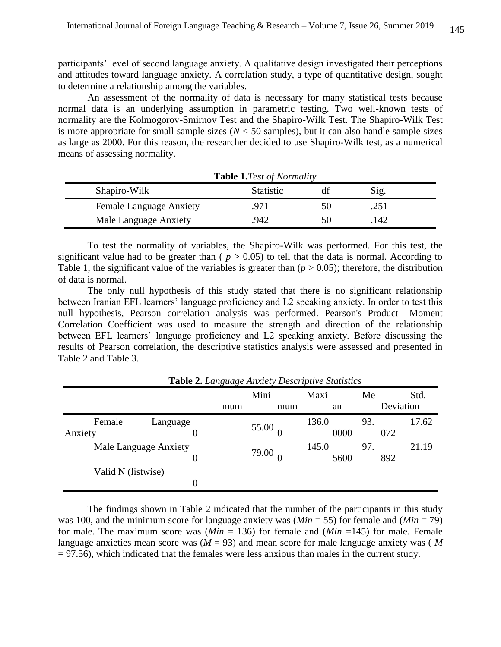participants' level of second language anxiety. A qualitative design investigated their perceptions and attitudes toward language anxiety. A correlation study, a type of quantitative design, sought to determine a relationship among the variables.

An assessment of the normality of data is necessary for many statistical tests because normal data is an underlying assumption in parametric testing. Two well-known tests of normality are the Kolmogorov-Smirnov Test and the Shapiro-Wilk Test. The Shapiro-Wilk Test is more appropriate for small sample sizes ( $N < 50$  samples), but it can also handle sample sizes as large as 2000. For this reason, the researcher decided to use Shapiro-Wilk test, as a numerical means of assessing normality.

| <b>Table 1.7est of Normality</b> |                  |    |      |  |  |
|----------------------------------|------------------|----|------|--|--|
| Shapiro-Wilk                     | <b>Statistic</b> |    | Sig. |  |  |
| <b>Female Language Anxiety</b>   | 971.             | 50 | .251 |  |  |
| Male Language Anxiety            | 942              | 50 | 142  |  |  |

To test the normality of variables, the Shapiro-Wilk was performed. For this test, the significant value had to be greater than ( $p > 0.05$ ) to tell that the data is normal. According to Table 1, the significant value of the variables is greater than  $(p > 0.05)$ ; therefore, the distribution of data is normal.

The only null hypothesis of this study stated that there is no significant relationship between Iranian EFL learners' language proficiency and L2 speaking anxiety. In order to test this null hypothesis, Pearson correlation analysis was performed. Pearson's Product –Moment Correlation Coefficient was used to measure the strength and direction of the relationship between EFL learners' language proficiency and L2 speaking anxiety. Before discussing the results of Pearson correlation, the descriptive statistics analysis were assessed and presented in Table 2 and Table 3.

| <b>Table 2.</b> Language Anxiety Descriptive Statistics |          |     |       |       |     |           |  |
|---------------------------------------------------------|----------|-----|-------|-------|-----|-----------|--|
|                                                         |          |     | Mini  | Maxi  | Me  | Std.      |  |
|                                                         |          | mum | mum   | an    |     | Deviation |  |
| Female                                                  | Language |     |       | 136.0 | 93. | 17.62     |  |
| Anxiety                                                 | 0        |     | 55.00 | 0000  |     | 072       |  |
| Male Language Anxiety                                   |          |     | 79.00 | 145.0 | 97. | 21.19     |  |
|                                                         | 0        |     |       | 5600  |     | 892       |  |
| Valid N (listwise)                                      |          |     |       |       |     |           |  |
|                                                         | 0        |     |       |       |     |           |  |

The findings shown in Table 2 indicated that the number of the participants in this study was 100, and the minimum score for language anxiety was (*Min* = 55) for female and (*Min* = 79) for male. The maximum score was  $(Min = 136)$  for female and  $(Min = 145)$  for male. Female language anxieties mean score was (*M* = 93) and mean score for male language anxiety was ( *M*  $= 97.56$ ), which indicated that the females were less anxious than males in the current study.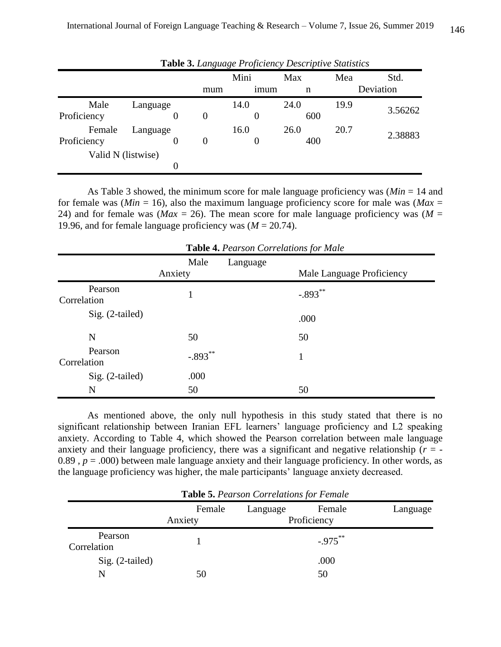|                    |          |   |     | Mini             | Max  | Mea  | Std.      |  |
|--------------------|----------|---|-----|------------------|------|------|-----------|--|
|                    |          |   | mum | 1 <sub>mum</sub> | n    |      | Deviation |  |
| Male               | Language |   |     | 14.0             | 24.0 | 19.9 |           |  |
| Proficiency        |          | 0 | 0   | 0                | 600  |      | 3.56262   |  |
| Female             | Language |   |     | 16.0             | 26.0 | 20.7 | 2.38883   |  |
| Proficiency        |          | 0 | 0   | 0                | 400  |      |           |  |
| Valid N (listwise) |          |   |     |                  |      |      |           |  |
|                    |          | 0 |     |                  |      |      |           |  |

**Table 3.** *Language Proficiency Descriptive Statistics*

As Table 3 showed, the minimum score for male language proficiency was (*Min* = 14 and for female was ( $Min = 16$ ), also the maximum language proficiency score for male was ( $Max =$ 24) and for female was ( $Max = 26$ ). The mean score for male language proficiency was ( $M =$ 19.96, and for female language proficiency was  $(M = 20.74)$ .

| <b>Table 4.</b> Pearson Correlations for Male |                 |                                       |  |  |  |
|-----------------------------------------------|-----------------|---------------------------------------|--|--|--|
|                                               | Male<br>Anxiety | Language<br>Male Language Proficiency |  |  |  |
| Pearson<br>Correlation                        |                 | $-.893***$                            |  |  |  |
| Sig. (2-tailed)                               |                 | .000                                  |  |  |  |
| N                                             | 50              | 50                                    |  |  |  |
| Pearson<br>Correlation                        | $-.893***$      | 1                                     |  |  |  |
| $Sig. (2-tailed)$                             | .000            |                                       |  |  |  |
| N                                             | 50              | 50                                    |  |  |  |

**Table 4.** *Pearson Correlations for Male*

As mentioned above, the only null hypothesis in this study stated that there is no significant relationship between Iranian EFL learners' language proficiency and L2 speaking anxiety. According to Table 4, which showed the Pearson correlation between male language anxiety and their language proficiency, there was a significant and negative relationship  $(r = -1)$ 0.89,  $p = .000$ ) between male language anxiety and their language proficiency. In other words, as the language proficiency was higher, the male participants' language anxiety decreased.

| <b>Table 5. Pearson Correlations for Female</b> |                   |                         |             |  |  |
|-------------------------------------------------|-------------------|-------------------------|-------------|--|--|
|                                                 | Female<br>Anxiety | Language<br>Proficiency | Language    |  |  |
| Pearson<br>Correlation                          |                   |                         | $-0.975***$ |  |  |
| $Sig. (2-tailed)$                               |                   |                         | .000        |  |  |
| N                                               | 50                |                         | 50          |  |  |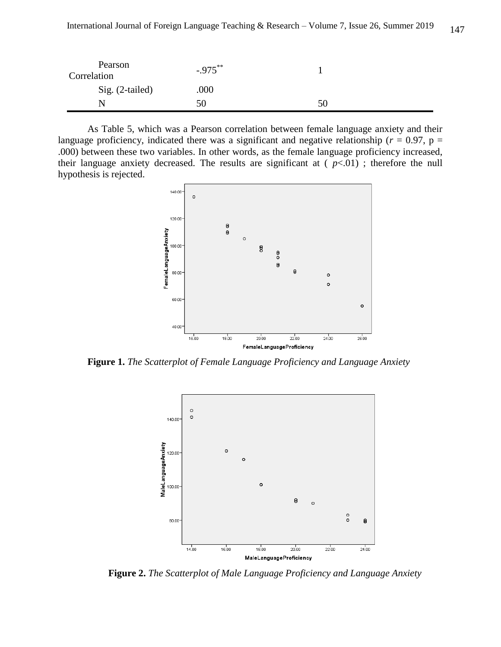| Pearson<br>Correlation | $-.975***$ |    |  |
|------------------------|------------|----|--|
| Sig. (2-tailed)        | .000       |    |  |
|                        | 50         | 50 |  |

As Table 5, which was a Pearson correlation between female language anxiety and their language proficiency, indicated there was a significant and negative relationship ( $r = 0.97$ ,  $p =$ .000) between these two variables. In other words, as the female language proficiency increased, their language anxiety decreased. The results are significant at  $(p<.01)$ ; therefore the null hypothesis is rejected.



**Figure 1.** *The Scatterplot of Female Language Proficiency and Language Anxiety*



**Figure 2.** *The Scatterplot of Male Language Proficiency and Language Anxiety*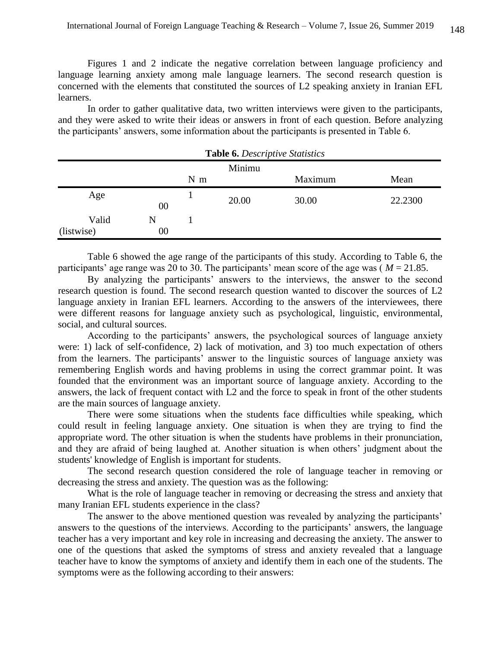Figures 1 and 2 indicate the negative correlation between language proficiency and language learning anxiety among male language learners. The second research question is concerned with the elements that constituted the sources of L2 speaking anxiety in Iranian EFL learners.

In order to gather qualitative data, two written interviews were given to the participants, and they were asked to write their ideas or answers in front of each question. Before analyzing the participants' answers, some information about the participants is presented in Table 6.

| <b>Table 6.</b> Descriptive Statistics |        |       |        |         |         |
|----------------------------------------|--------|-------|--------|---------|---------|
|                                        |        |       | Minimu |         |         |
|                                        |        | $N$ m |        | Maximum | Mean    |
| Age                                    | 00     |       | 20.00  | 30.00   | 22.2300 |
| Valid                                  | N      |       |        |         |         |
| (listwise)                             | $00\,$ |       |        |         |         |

**Table 6.** *Descriptive Statistics*

Table 6 showed the age range of the participants of this study. According to Table 6, the participants' age range was 20 to 30. The participants' mean score of the age was ( *M* = 21.85.

By analyzing the participants' answers to the interviews, the answer to the second research question is found. The second research question wanted to discover the sources of L2 language anxiety in Iranian EFL learners. According to the answers of the interviewees, there were different reasons for language anxiety such as psychological, linguistic, environmental, social, and cultural sources.

According to the participants' answers, the psychological sources of language anxiety were: 1) lack of self-confidence, 2) lack of motivation, and 3) too much expectation of others from the learners. The participants' answer to the linguistic sources of language anxiety was remembering English words and having problems in using the correct grammar point. It was founded that the environment was an important source of language anxiety. According to the answers, the lack of frequent contact with L2 and the force to speak in front of the other students are the main sources of language anxiety.

There were some situations when the students face difficulties while speaking, which could result in feeling language anxiety. One situation is when they are trying to find the appropriate word. The other situation is when the students have problems in their pronunciation, and they are afraid of being laughed at. Another situation is when others' judgment about the students' knowledge of English is important for students.

The second research question considered the role of language teacher in removing or decreasing the stress and anxiety. The question was as the following:

What is the role of language teacher in removing or decreasing the stress and anxiety that many Iranian EFL students experience in the class?

The answer to the above mentioned question was revealed by analyzing the participants' answers to the questions of the interviews. According to the participants' answers, the language teacher has a very important and key role in increasing and decreasing the anxiety. The answer to one of the questions that asked the symptoms of stress and anxiety revealed that a language teacher have to know the symptoms of anxiety and identify them in each one of the students. The symptoms were as the following according to their answers: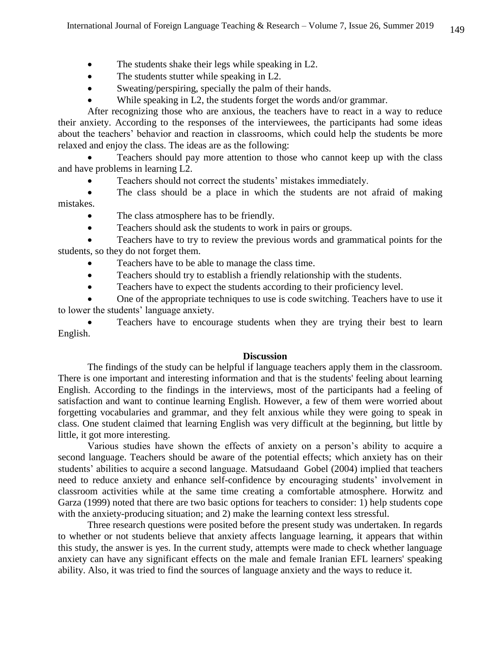- The students shake their legs while speaking in L2.
- The students stutter while speaking in L2.
- Sweating/perspiring, specially the palm of their hands.
- While speaking in L2, the students forget the words and/or grammar.

After recognizing those who are anxious, the teachers have to react in a way to reduce their anxiety. According to the responses of the interviewees, the participants had some ideas about the teachers' behavior and reaction in classrooms, which could help the students be more relaxed and enjoy the class. The ideas are as the following:

 Teachers should pay more attention to those who cannot keep up with the class and have problems in learning L2.

Teachers should not correct the students' mistakes immediately.

 The class should be a place in which the students are not afraid of making mistakes.

- The class atmosphere has to be friendly.
- Teachers should ask the students to work in pairs or groups.

 Teachers have to try to review the previous words and grammatical points for the students, so they do not forget them.

- Teachers have to be able to manage the class time.
- Teachers should try to establish a friendly relationship with the students.
- Teachers have to expect the students according to their proficiency level.

 One of the appropriate techniques to use is code switching. Teachers have to use it to lower the students' language anxiety.

 Teachers have to encourage students when they are trying their best to learn English.

#### **Discussion**

The findings of the study can be helpful if language teachers apply them in the classroom. There is one important and interesting information and that is the students' feeling about learning English. According to the findings in the interviews, most of the participants had a feeling of satisfaction and want to continue learning English. However, a few of them were worried about forgetting vocabularies and grammar, and they felt anxious while they were going to speak in class. One student claimed that learning English was very difficult at the beginning, but little by little, it got more interesting.

Various studies have shown the effects of anxiety on a person's ability to acquire a second language. Teachers should be aware of the potential effects; which anxiety has on their students' abilities to acquire a second language. Matsudaand Gobel (2004) implied that teachers need to reduce anxiety and enhance self-confidence by encouraging students' involvement in classroom activities while at the same time creating a comfortable atmosphere. Horwitz and Garza (1999) noted that there are two basic options for teachers to consider: 1) help students cope with the anxiety-producing situation; and 2) make the learning context less stressful.

Three research questions were posited before the present study was undertaken. In regards to whether or not students believe that anxiety affects language learning, it appears that within this study, the answer is yes. In the current study, attempts were made to check whether language anxiety can have any significant effects on the male and female Iranian EFL learners' speaking ability. Also, it was tried to find the sources of language anxiety and the ways to reduce it.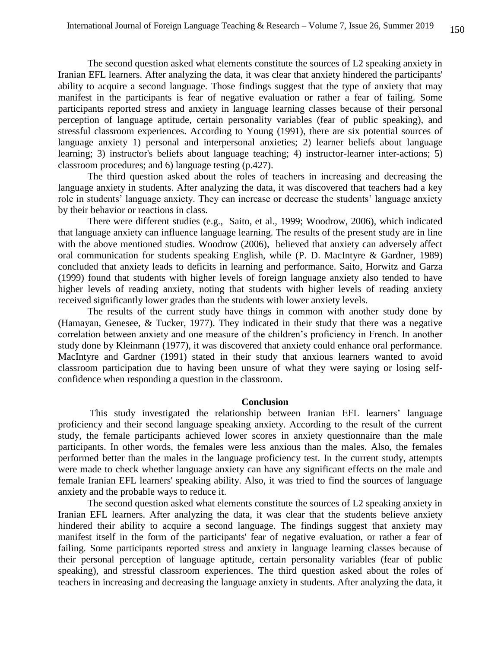The second question asked what elements constitute the sources of L2 speaking anxiety in Iranian EFL learners. After analyzing the data, it was clear that anxiety hindered the participants' ability to acquire a second language. Those findings suggest that the type of anxiety that may manifest in the participants is fear of negative evaluation or rather a fear of failing. Some participants reported stress and anxiety in language learning classes because of their personal perception of language aptitude, certain personality variables (fear of public speaking), and stressful classroom experiences. According to Young (1991), there are six potential sources of language anxiety 1) personal and interpersonal anxieties; 2) learner beliefs about language learning; 3) instructor's beliefs about language teaching; 4) instructor-learner inter-actions; 5) classroom procedures; and 6) language testing (p.427).

The third question asked about the roles of teachers in increasing and decreasing the language anxiety in students. After analyzing the data, it was discovered that teachers had a key role in students' language anxiety. They can increase or decrease the students' language anxiety by their behavior or reactions in class.

There were different studies (e.g., Saito, et al., 1999; Woodrow, 2006), which indicated that language anxiety can influence language learning. The results of the present study are in line with the above mentioned studies. Woodrow (2006), believed that anxiety can adversely affect oral communication for students speaking English, while (P. D. MacIntyre & Gardner, 1989) concluded that anxiety leads to deficits in learning and performance. Saito, Horwitz and Garza (1999) found that students with higher levels of foreign language anxiety also tended to have higher levels of reading anxiety, noting that students with higher levels of reading anxiety received significantly lower grades than the students with lower anxiety levels.

The results of the current study have things in common with another study done by (Hamayan, Genesee, & Tucker, 1977). They indicated in their study that there was a negative correlation between anxiety and one measure of the children's proficiency in French. In another study done by Kleinmann (1977), it was discovered that anxiety could enhance oral performance. MacIntyre and Gardner (1991) stated in their study that anxious learners wanted to avoid classroom participation due to having been unsure of what they were saying or losing selfconfidence when responding a question in the classroom.

## **Conclusion**

This study investigated the relationship between Iranian EFL learners' language proficiency and their second language speaking anxiety. According to the result of the current study, the female participants achieved lower scores in anxiety questionnaire than the male participants. In other words, the females were less anxious than the males. Also, the females performed better than the males in the language proficiency test. In the current study, attempts were made to check whether language anxiety can have any significant effects on the male and female Iranian EFL learners' speaking ability. Also, it was tried to find the sources of language anxiety and the probable ways to reduce it.

The second question asked what elements constitute the sources of L2 speaking anxiety in Iranian EFL learners. After analyzing the data, it was clear that the students believe anxiety hindered their ability to acquire a second language. The findings suggest that anxiety may manifest itself in the form of the participants' fear of negative evaluation, or rather a fear of failing. Some participants reported stress and anxiety in language learning classes because of their personal perception of language aptitude, certain personality variables (fear of public speaking), and stressful classroom experiences. The third question asked about the roles of teachers in increasing and decreasing the language anxiety in students. After analyzing the data, it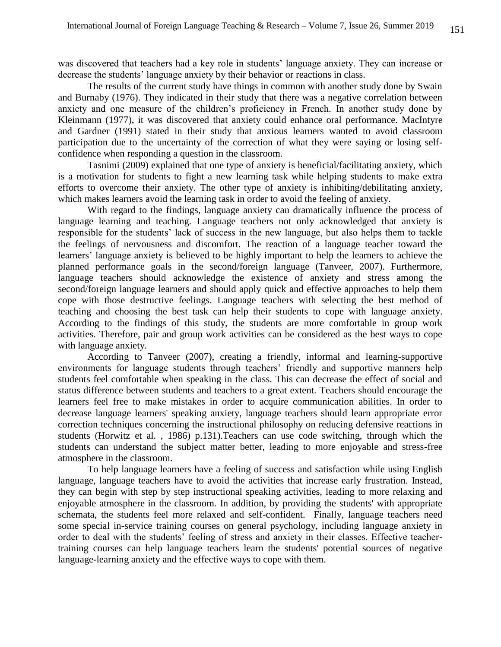was discovered that teachers had a key role in students' language anxiety. They can increase or decrease the students' language anxiety by their behavior or reactions in class.

The results of the current study have things in common with another study done by Swain and Burnaby (1976). They indicated in their study that there was a negative correlation between anxiety and one measure of the children's proficiency in French. In another study done by Kleinmann (1977), it was discovered that anxiety could enhance oral performance. MacIntyre and Gardner (1991) stated in their study that anxious learners wanted to avoid classroom participation due to the uncertainty of the correction of what they were saying or losing selfconfidence when responding a question in the classroom.

Tasnimi (2009) explained that one type of anxiety is beneficial/facilitating anxiety, which is a motivation for students to fight a new learning task while helping students to make extra efforts to overcome their anxiety. The other type of anxiety is inhibiting/debilitating anxiety, which makes learners avoid the learning task in order to avoid the feeling of anxiety.

With regard to the findings, language anxiety can dramatically influence the process of language learning and teaching. Language teachers not only acknowledged that anxiety is responsible for the students' lack of success in the new language, but also helps them to tackle the feelings of nervousness and discomfort. The reaction of a language teacher toward the learners' language anxiety is believed to be highly important to help the learners to achieve the planned performance goals in the second/foreign language (Tanveer, 2007). Furthermore, language teachers should acknowledge the existence of anxiety and stress among the second/foreign language learners and should apply quick and effective approaches to help them cope with those destructive feelings. Language teachers with selecting the best method of teaching and choosing the best task can help their students to cope with language anxiety. According to the findings of this study, the students are more comfortable in group work activities. Therefore, pair and group work activities can be considered as the best ways to cope with language anxiety.

According to Tanveer (2007), creating a friendly, informal and learning-supportive environments for language students through teachers' friendly and supportive manners help students feel comfortable when speaking in the class. This can decrease the effect of social and status difference between students and teachers to a great extent. Teachers should encourage the learners feel free to make mistakes in order to acquire communication abilities. In order to decrease language learners' speaking anxiety, language teachers should learn appropriate error correction techniques concerning the instructional philosophy on reducing defensive reactions in students (Horwitz et al. , 1986) p.131).Teachers can use code switching, through which the students can understand the subject matter better, leading to more enjoyable and stress-free atmosphere in the classroom.

To help language learners have a feeling of success and satisfaction while using English language, language teachers have to avoid the activities that increase early frustration. Instead, they can begin with step by step instructional speaking activities, leading to more relaxing and enjoyable atmosphere in the classroom. In addition, by providing the students' with appropriate schemata, the students feel more relaxed and self-confident. Finally, language teachers need some special in-service training courses on general psychology, including language anxiety in order to deal with the students' feeling of stress and anxiety in their classes. Effective teachertraining courses can help language teachers learn the students' potential sources of negative language-learning anxiety and the effective ways to cope with them.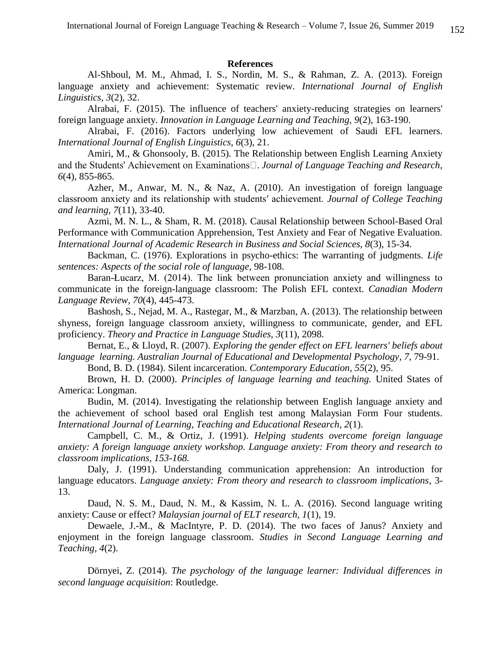#### **References**

Al-Shboul, M. M., Ahmad, I. S., Nordin, M. S., & Rahman, Z. A. (2013). Foreign language anxiety and achievement: Systematic review. *International Journal of English Linguistics, 3*(2), 32.

Alrabai, F. (2015). The influence of teachers' anxiety-reducing strategies on learners' foreign language anxiety. *Innovation in Language Learning and Teaching, 9*(2), 163-190.

Alrabai, F. (2016). Factors underlying low achievement of Saudi EFL learners. *International Journal of English Linguistics, 6*(3), 21.

Amiri, M., & Ghonsooly, B. (2015). The Relationship between English Learning Anxiety *Journal of Language Teaching and Research, 6*(4), 855-865.

Azher, M., Anwar, M. N., & Naz, A. (2010). An investigation of foreign language classroom anxiety and its relationship with students′ achievement. *Journal of College Teaching and learning, 7*(11), 33-40.

Azmi, M. N. L., & Sham, R. M. (2018). Causal Relationship between School-Based Oral Performance with Communication Apprehension, Test Anxiety and Fear of Negative Evaluation. *International Journal of Academic Research in Business and Social Sciences, 8*(3), 15-34.

Backman, C. (1976). Explorations in psycho-ethics: The warranting of judgments. *Life sentences: Aspects of the social role of language*, 98-108.

Baran-Łucarz, M. (2014). The link between pronunciation anxiety and willingness to communicate in the foreign-language classroom: The Polish EFL context. *Canadian Modern Language Review, 70*(4), 445-473.

Bashosh, S., Nejad, M. A., Rastegar, M., & Marzban, A. (2013). The relationship between shyness, foreign language classroom anxiety, willingness to communicate, gender, and EFL proficiency. *Theory and Practice in Language Studies, 3*(11), 2098.

 Bernat, E., & Lloyd, R. (2007). *Exploring the gender effect on EFL learners' beliefs about language learning. Australian Journal of Educational and Developmental Psychology*, *7*, 79-91.

Bond, B. D. (1984). Silent incarceration. *Contemporary Education, 55*(2), 95.

Brown, H. D. (2000). *Principles of language learning and teaching.* United States of America: Longman.

Budin, M. (2014). Investigating the relationship between English language anxiety and the achievement of school based oral English test among Malaysian Form Four students. *International Journal of Learning, Teaching and Educational Research, 2*(1).

Campbell, C. M., & Ortiz, J. (1991). *Helping students overcome foreign language anxiety: A foreign language anxiety workshop. Language anxiety: From theory and research to classroom implications, 153-168.* 

Daly, J. (1991). Understanding communication apprehension: An introduction for language educators. *Language anxiety: From theory and research to classroom implications*, 3- 13.

Daud, N. S. M., Daud, N. M., & Kassim, N. L. A. (2016). Second language writing anxiety: Cause or effect? *Malaysian journal of ELT research, 1*(1), 19.

Dewaele, J.-M., & MacIntyre, P. D. (2014). The two faces of Janus? Anxiety and enjoyment in the foreign language classroom. *Studies in Second Language Learning and Teaching, 4*(2).

Dörnyei, Z. (2014). *The psychology of the language learner: Individual differences in second language acquisition*: Routledge.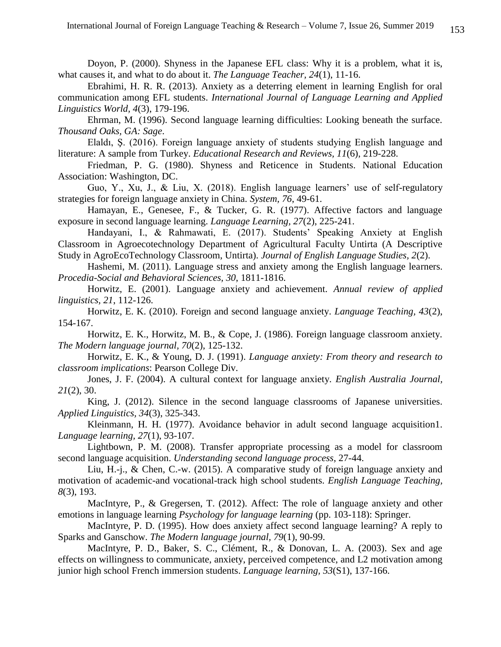Doyon, P. (2000). Shyness in the Japanese EFL class: Why it is a problem, what it is, what causes it, and what to do about it. *The Language Teacher, 24*(1), 11-16.

Ebrahimi, H. R. R. (2013). Anxiety as a deterring element in learning English for oral communication among EFL students. *International Journal of Language Learning and Applied Linguistics World, 4*(3), 179-196.

Ehrman, M. (1996). Second language learning difficulties: Looking beneath the surface. *Thousand Oaks, GA: Sage*.

Elaldı, Ş. (2016). Foreign language anxiety of students studying English language and literature: A sample from Turkey. *Educational Research and Reviews, 11*(6), 219-228.

Friedman, P. G. (1980). Shyness and Reticence in Students. National Education Association: Washington, DC.

Guo, Y., Xu, J., & Liu, X. (2018). English language learners' use of self-regulatory strategies for foreign language anxiety in China. *System, 76*, 49-61.

Hamayan, E., Genesee, F., & Tucker, G. R. (1977). Affective factors and language exposure in second language learning. *Language Learning, 27*(2), 225-241.

Handayani, I., & Rahmawati, E. (2017). Students' Speaking Anxiety at English Classroom in Agroecotechnology Department of Agricultural Faculty Untirta (A Descriptive Study in AgroEcoTechnology Classroom, Untirta). *Journal of English Language Studies, 2*(2).

Hashemi, M. (2011). Language stress and anxiety among the English language learners. *Procedia-Social and Behavioral Sciences, 30*, 1811-1816.

Horwitz, E. (2001). Language anxiety and achievement. *Annual review of applied linguistics, 21*, 112-126.

Horwitz, E. K. (2010). Foreign and second language anxiety. *Language Teaching, 43*(2), 154-167.

Horwitz, E. K., Horwitz, M. B., & Cope, J. (1986). Foreign language classroom anxiety. *The Modern language journal, 70*(2), 125-132.

Horwitz, E. K., & Young, D. J. (1991). *Language anxiety: From theory and research to classroom implications*: Pearson College Div.

Jones, J. F. (2004). A cultural context for language anxiety. *English Australia Journal, 21*(2), 30.

King, J. (2012). Silence in the second language classrooms of Japanese universities. *Applied Linguistics, 34*(3), 325-343.

Kleinmann, H. H. (1977). Avoidance behavior in adult second language acquisition1. *Language learning, 27*(1), 93-107.

Lightbown, P. M. (2008). Transfer appropriate processing as a model for classroom second language acquisition. *Understanding second language process*, 27-44.

Liu, H.-j., & Chen, C.-w. (2015). A comparative study of foreign language anxiety and motivation of academic-and vocational-track high school students. *English Language Teaching, 8*(3), 193.

MacIntyre, P., & Gregersen, T. (2012). Affect: The role of language anxiety and other emotions in language learning *Psychology for language learning* (pp. 103-118): Springer.

MacIntyre, P. D. (1995). How does anxiety affect second language learning? A reply to Sparks and Ganschow. *The Modern language journal, 79*(1), 90-99.

MacIntyre, P. D., Baker, S. C., Clément, R., & Donovan, L. A. (2003). Sex and age effects on willingness to communicate, anxiety, perceived competence, and L2 motivation among junior high school French immersion students. *Language learning, 53*(S1), 137-166.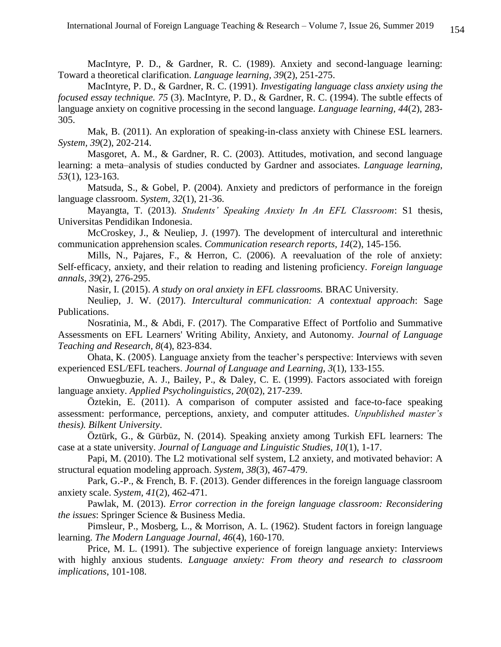MacIntyre, P. D., & Gardner, R. C. (1989). Anxiety and second-language learning: Toward a theoretical clarification. *Language learning, 39*(2), 251-275.

MacIntyre, P. D., & Gardner, R. C. (1991). *Investigating language class anxiety using the focused essay technique. 75* (3). MacIntyre, P. D., & Gardner, R. C. (1994). The subtle effects of language anxiety on cognitive processing in the second language. *Language learning, 44*(2), 283- 305.

Mak, B. (2011). An exploration of speaking-in-class anxiety with Chinese ESL learners. *System, 39*(2), 202-214.

Masgoret, A. M., & Gardner, R. C. (2003). Attitudes, motivation, and second language learning: a meta–analysis of studies conducted by Gardner and associates. *Language learning, 53*(1), 123-163.

Matsuda, S., & Gobel, P. (2004). Anxiety and predictors of performance in the foreign language classroom. *System, 32*(1), 21-36.

Mayangta, T. (2013). *Students' Speaking Anxiety In An EFL Classroom*: S1 thesis, Universitas Pendidikan Indonesia.

McCroskey, J., & Neuliep, J. (1997). The development of intercultural and interethnic communication apprehension scales. *Communication research reports, 14*(2), 145-156.

Mills, N., Pajares, F., & Herron, C. (2006). A reevaluation of the role of anxiety: Self‐efficacy, anxiety, and their relation to reading and listening proficiency. *Foreign language annals, 39*(2), 276-295.

Nasir, I. (2015). *A study on oral anxiety in EFL classrooms.* BRAC University.

Neuliep, J. W. (2017). *Intercultural communication: A contextual approach*: Sage Publications.

Nosratinia, M., & Abdi, F. (2017). The Comparative Effect of Portfolio and Summative Assessments on EFL Learners' Writing Ability, Anxiety, and Autonomy. *Journal of Language Teaching and Research, 8*(4), 823-834.

Ohata, K. (2005). Language anxiety from the teacher's perspective: Interviews with seven experienced ESL/EFL teachers. *Journal of Language and Learning, 3*(1), 133-155.

Onwuegbuzie, A. J., Bailey, P., & Daley, C. E. (1999). Factors associated with foreign language anxiety. *Applied Psycholinguistics, 20*(02), 217-239.

Öztekin, E. (2011). A comparison of computer assisted and face-to-face speaking assessment: performance, perceptions, anxiety, and computer attitudes. *Unpublished master's thesis). Bilkent University*.

Öztürk, G., & Gürbüz, N. (2014). Speaking anxiety among Turkish EFL learners: The case at a state university. *Journal of Language and Linguistic Studies, 10*(1), 1-17.

Papi, M. (2010). The L2 motivational self system, L2 anxiety, and motivated behavior: A structural equation modeling approach. *System, 38*(3), 467-479.

Park, G.-P., & French, B. F. (2013). Gender differences in the foreign language classroom anxiety scale. *System, 41*(2), 462-471.

Pawlak, M. (2013). *Error correction in the foreign language classroom: Reconsidering the issues*: Springer Science & Business Media.

Pimsleur, P., Mosberg, L., & Morrison, A. L. (1962). Student factors in foreign language learning. *The Modern Language Journal, 46*(4), 160-170.

Price, M. L. (1991). The subjective experience of foreign language anxiety: Interviews with highly anxious students. *Language anxiety: From theory and research to classroom implications*, 101-108.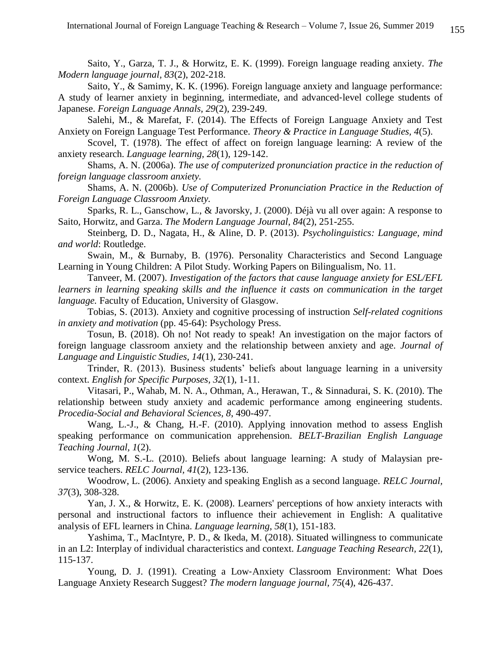Saito, Y., Garza, T. J., & Horwitz, E. K. (1999). Foreign language reading anxiety. *The Modern language journal, 83*(2), 202-218.

Saito, Y., & Samimy, K. K. (1996). Foreign language anxiety and language performance: A study of learner anxiety in beginning, intermediate, and advanced‐level college students of Japanese. *Foreign Language Annals, 29*(2), 239-249.

Salehi, M., & Marefat, F. (2014). The Effects of Foreign Language Anxiety and Test Anxiety on Foreign Language Test Performance. *Theory & Practice in Language Studies, 4*(5).

Scovel, T. (1978). The effect of affect on foreign language learning: A review of the anxiety research. *Language learning, 28*(1), 129-142.

Shams, A. N. (2006a). *The use of computerized pronunciation practice in the reduction of foreign language classroom anxiety.*

Shams, A. N. (2006b). *Use of Computerized Pronunciation Practice in the Reduction of Foreign Language Classroom Anxiety.*

Sparks, R. L., Ganschow, L., & Javorsky, J. (2000). Déjà vu all over again: A response to Saito, Horwitz, and Garza. *The Modern Language Journal, 84*(2), 251-255.

Steinberg, D. D., Nagata, H., & Aline, D. P. (2013). *Psycholinguistics: Language, mind and world*: Routledge.

Swain, M., & Burnaby, B. (1976). Personality Characteristics and Second Language Learning in Young Children: A Pilot Study. Working Papers on Bilingualism, No. 11.

Tanveer, M. (2007). *Investigation of the factors that cause language anxiety for ESL/EFL*  learners in learning speaking skills and the influence it casts on communication in the target *language.* Faculty of Education, University of Glasgow.

Tobias, S. (2013). Anxiety and cognitive processing of instruction *Self-related cognitions in anxiety and motivation* (pp. 45-64): Psychology Press.

Tosun, B. (2018). Oh no! Not ready to speak! An investigation on the major factors of foreign language classroom anxiety and the relationship between anxiety and age. *Journal of Language and Linguistic Studies, 14*(1), 230-241.

Trinder, R. (2013). Business students' beliefs about language learning in a university context. *English for Specific Purposes, 32*(1), 1-11.

Vitasari, P., Wahab, M. N. A., Othman, A., Herawan, T., & Sinnadurai, S. K. (2010). The relationship between study anxiety and academic performance among engineering students. *Procedia-Social and Behavioral Sciences, 8*, 490-497.

Wang, L.-J., & Chang, H.-F. (2010). Applying innovation method to assess English speaking performance on communication apprehension. *BELT-Brazilian English Language Teaching Journal, 1*(2).

Wong, M. S.-L. (2010). Beliefs about language learning: A study of Malaysian preservice teachers. *RELC Journal, 41*(2), 123-136.

Woodrow, L. (2006). Anxiety and speaking English as a second language. *RELC Journal, 37*(3), 308-328.

Yan, J. X., & Horwitz, E. K. (2008). Learners' perceptions of how anxiety interacts with personal and instructional factors to influence their achievement in English: A qualitative analysis of EFL learners in China. *Language learning, 58*(1), 151-183.

Yashima, T., MacIntyre, P. D., & Ikeda, M. (2018). Situated willingness to communicate in an L2: Interplay of individual characteristics and context. *Language Teaching Research, 22*(1), 115-137.

Young, D. J. (1991). Creating a Low‐Anxiety Classroom Environment: What Does Language Anxiety Research Suggest? *The modern language journal, 75*(4), 426-437.